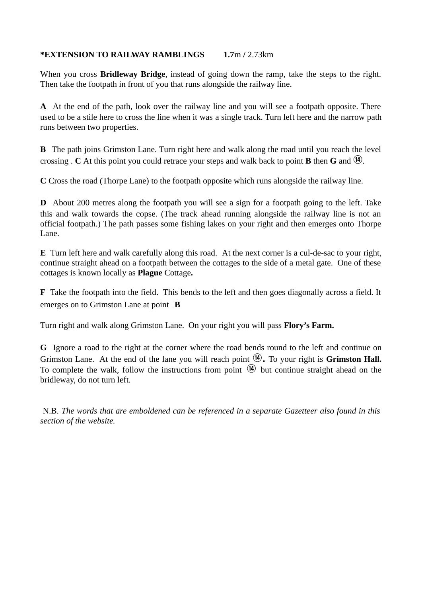## **\*EXTENSION TO RAILWAY RAMBLINGS 1.7**m **/** 2.73km

When you cross **Bridleway Bridge**, instead of going down the ramp, take the steps to the right. Then take the footpath in front of you that runs alongside the railway line.

**A** At the end of the path, look over the railway line and you will see a footpath opposite. There used to be a stile here to cross the line when it was a single track. Turn left here and the narrow path runs between two properties.

**B** The path joins Grimston Lane. Turn right here and walk along the road until you reach the level crossing . **C** At this point you could retrace your steps and walk back to point **B** then **G** and  $\mathbf{Q}$ .

**C** Cross the road (Thorpe Lane) to the footpath opposite which runs alongside the railway line.

**D** About 200 metres along the footpath you will see a sign for a footpath going to the left. Take this and walk towards the copse. (The track ahead running alongside the railway line is not an official footpath.) The path passes some fishing lakes on your right and then emerges onto Thorpe Lane.

**E** Turn left here and walk carefully along this road. At the next corner is a cul-de-sac to your right, continue straight ahead on a footpath between the cottages to the side of a metal gate. One of these cottages is known locally as **Plague** Cottage**.** 

**F** Take the footpath into the field. This bends to the left and then goes diagonally across a field. It emerges on to Grimston Lane at point **B**

Turn right and walk along Grimston Lane. On your right you will pass **Flory's Farm.**

**G** Ignore a road to the right at the corner where the road bends round to the left and continue on Grimston Lane. At the end of the lane you will reach point  $\mathcal{P}$ . To your right is **Grimston Hall.** To complete the walk, follow the instructions from point  $\Phi$  but continue straight ahead on the bridleway, do not turn left.

 N.B. *The words that are emboldened can be referenced in a separate Gazetteer also found in this section of the website.*